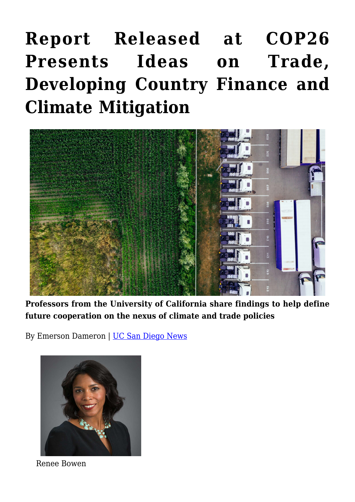## **[Report Released at COP26](https://gpsnews.ucsd.edu/report-released-at-cop26-presents-ideas-on-trade-developing-country-finance-and-climate-mitigation/) [Presents Ideas on Trade,](https://gpsnews.ucsd.edu/report-released-at-cop26-presents-ideas-on-trade-developing-country-finance-and-climate-mitigation/) [Developing Country Finance and](https://gpsnews.ucsd.edu/report-released-at-cop26-presents-ideas-on-trade-developing-country-finance-and-climate-mitigation/) [Climate Mitigation](https://gpsnews.ucsd.edu/report-released-at-cop26-presents-ideas-on-trade-developing-country-finance-and-climate-mitigation/)**



**Professors from the University of California share findings to help define future cooperation on the nexus of climate and trade policies**

By Emerson Dameron | [UC San Diego News](https://ucsdnews.ucsd.edu/pressrelease/report-released-at-cop26-presents-ideas-on-trade-developing-country-finance-and-climate-mitigation)



Renee Bowen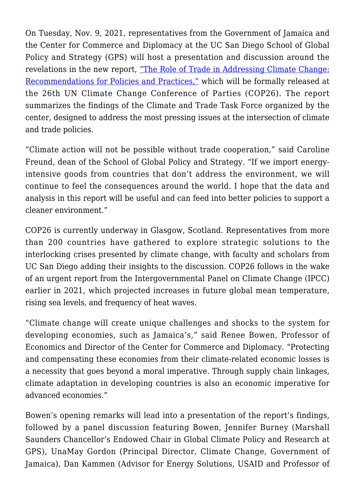On Tuesday, Nov. 9, 2021, representatives from the Government of Jamaica and the Center for Commerce and Diplomacy at the UC San Diego School of Global Policy and Strategy (GPS) will host a presentation and discussion around the revelations in the new report, ["The Role of Trade in Addressing Climate Change:](https://ccd.ucsd.edu/_files/2021-report_role-of-trade-in-addressing-climate-change.pdf) [Recommendations for Policies and Practices,"](https://ccd.ucsd.edu/_files/2021-report_role-of-trade-in-addressing-climate-change.pdf) which will be formally released at the 26th UN Climate Change Conference of Parties (COP26). The report summarizes the findings of the Climate and Trade Task Force organized by the center, designed to address the most pressing issues at the intersection of climate and trade policies.

"Climate action will not be possible without trade cooperation," said Caroline Freund, dean of the School of Global Policy and Strategy. "If we import energyintensive goods from countries that don't address the environment, we will continue to feel the consequences around the world. I hope that the data and analysis in this report will be useful and can feed into better policies to support a cleaner environment."

COP26 is currently underway in Glasgow, Scotland. Representatives from more than 200 countries have gathered to explore strategic solutions to the interlocking crises presented by climate change, with faculty and scholars from UC San Diego adding their insights to the discussion. COP26 follows in the wake of an urgent report from the Intergovernmental Panel on Climate Change (IPCC) earlier in 2021, which projected increases in future global mean temperature, rising sea levels, and frequency of heat waves.

"Climate change will create unique challenges and shocks to the system for developing economies, such as Jamaica's," said Renee Bowen, Professor of Economics and Director of the Center for Commerce and Diplomacy. "Protecting and compensating these economies from their climate-related economic losses is a necessity that goes beyond a moral imperative. Through supply chain linkages, climate adaptation in developing countries is also an economic imperative for advanced economies."

Bowen's opening remarks will lead into a presentation of the report's findings, followed by a panel discussion featuring Bowen, Jennifer Burney (Marshall Saunders Chancellor's Endowed Chair in Global Climate Policy and Research at GPS), UnaMay Gordon (Principal Director, Climate Change, Government of Jamaica), Dan Kammen (Advisor for Energy Solutions, USAID and Professor of